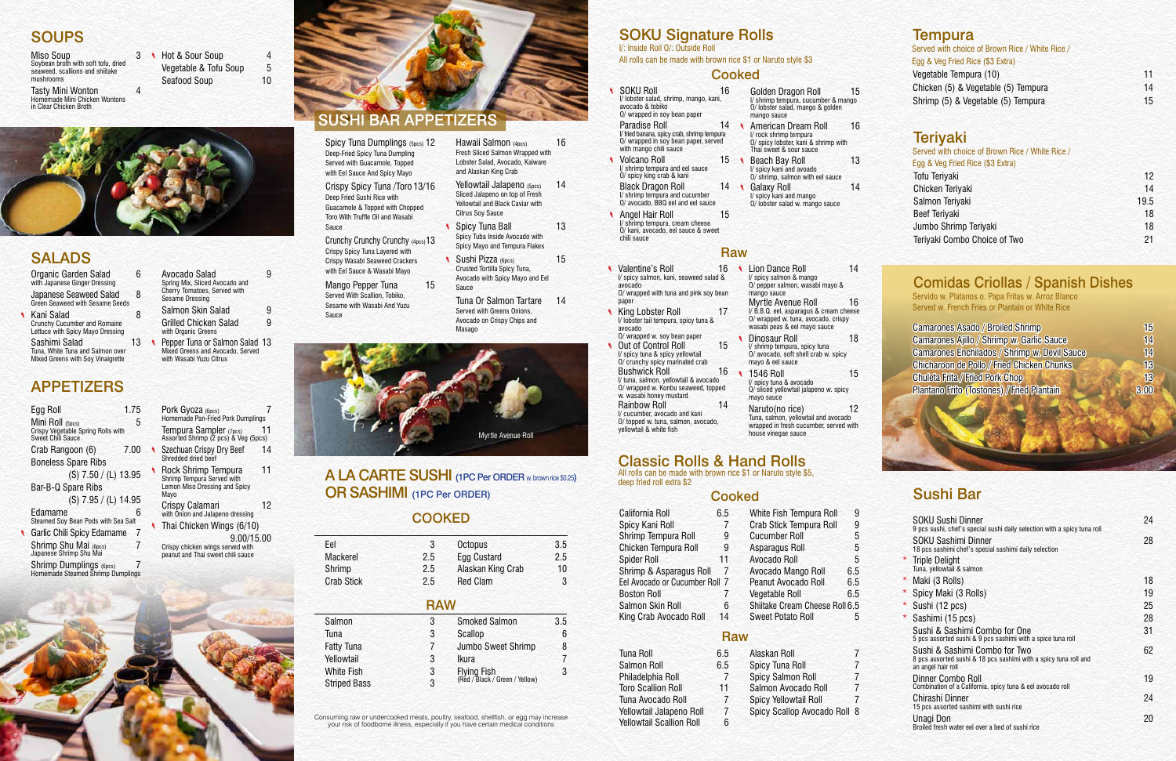### **SOUPS**

Miso Soup 3 Soybean broth with soft tofu, dried seaweed, scallions and shiitake mushrooms Tasty Mini Wonton 4

Homemade Mini Chicken Wontons in Clear Chicken Broth

| Hot & Sour Soup       | 4  |
|-----------------------|----|
| Vegetable & Tofu Soup | 5  |
| Seafood Soup          | 10 |

| Organic Garden Salad<br>with Japanese Ginger Dressing                                 | հ  |  |
|---------------------------------------------------------------------------------------|----|--|
| Japanese Seaweed Salad<br><b>Green Seaweed with Sesame Seeds</b>                      | 8  |  |
| Kani Salad<br><b>Crunchy Cucumber and Romaine</b><br>Lettuce with Spicy Mayo Dressing | 8  |  |
| Sashimi Salad                                                                         | 13 |  |

Tuna, White Tuna and Salmon over Mixed Greens with Soy Vinaigrette

| Avocado Salad<br>Spring Mix, Sliced Avocado and<br>Cherry Tomatoes, Served with<br><b>Sesame Dressing</b> | g |
|-----------------------------------------------------------------------------------------------------------|---|
| Salmon Skin Salad                                                                                         | g |
| <b>Grilled Chicken Salad</b><br>with Organic Greens                                                       | g |
| Pepper Tuna or Salmon Salad 13<br>$M_{\rm max}$ of Operation and Approvals Operation                      |   |

Mixed Greens and Avocado, Served with Wasabi Yuzu Citrus

### SALADS

### APPETIZERS

Spicy Tuna Dumplings (5pcs) 12 Deep-Fried Spicy Tuna Dumpling Served with Guacamole, Topped with Eel Sauce And Spicy Mayo

| Egg Roll                                                                           | 1.75     |  |
|------------------------------------------------------------------------------------|----------|--|
| Mini Roll (5pcs)<br>Crispy Vegetable Spring Rolls with<br><b>Sweet Chili Sauce</b> | 5        |  |
| Crab Rangoon (6)                                                                   | 7.00     |  |
| <b>Boneless Spare Ribs</b>                                                         |          |  |
| (S) 7.50 / (L) 13.95                                                               |          |  |
| Bar-B-Q Spare Ribs                                                                 |          |  |
| (S) 7.95 / (L) 14.95                                                               |          |  |
| Edamame<br>Steamed Soy Bean Pods with Sea Salt                                     | 6        |  |
| Garlic Chili Spicy Edamame                                                         | 7        |  |
| Shrimp Shu Mai (6pcs)<br>Japanese Shrimp Shu Mai                                   | 7        |  |
| Shrimp Dumplings (6pcs)<br>Homemade Steamed Shrimp Dumplings                       | $\prime$ |  |

Mango Pepper Tuna 15 Served With Scallion, Tobiko, Sesame with Wasabi And Yuzu Sauce

- Hawaii Salmon (4pcs) 16 Fresh Sliced Salmon Wrapped with Lobster Salad, Avocado, Kaiware and Alaskan King Crab
- Yellowtail Jalapeno (5pcs) 14 Sliced Jalapeno on top of Fresh Yellowtail and Black Caviar with Citrus Soy Sauce
- **Spicy Tuna Ball** 13 Spicy Tuba Inside Avocado with Spicy Mayo and Tempura Flakes
- Sushi Pizza (6pcs) 15 Crusted Tortilla Spicy Tuna, Avocado with Spicy Mayo and Eel Sauce
- Tuna Or Salmon Tartare 14 Served with Greens Onions, Avocado on Crispy Chips and Masago

| PUIK GYUZA (6pcs)<br>Homemade Pan-Fried Pork Dumplings                                     |    |
|--------------------------------------------------------------------------------------------|----|
| Tempura Sampler (7pcs)<br>Assorted Shrimp (2 pcs) & Veg (5pcs)                             | 11 |
| Szechuan Crispy Dry Beef<br>Shredded dried beef                                            | 14 |
| Rock Shrimp Tempura<br>Shrimp Tempura Served with<br>Lemon Miso Dressing and Spicy<br>Mayo | 11 |
| Crispy Calamari<br>with Onion and Jalapeno dressing                                        | 12 |
| Thai Chicken Wings (6/10)                                                                  |    |
| 9.00/15.00<br>Crispy chicken wings served with<br>peanut and Thai sweet chili sauce        |    |

 $Pov<sub>k</sub> P<sub>k</sub>$ 



Crispy Spicy Tuna /Toro 13/16 Deep Fried Sushi Rice with Guacamole & Topped with Chopped Toro With Truffle Oil and Wasabi Sauce

Crunchy Crunchy Crunchy (4pcs)13 Crispy Spicy Tuna Layered with Crispy Wasabi Seaweed Crackers with Eel Sauce & Wasabi Mayo

## SUSHI BAR APPETIZERS

### A LA CARTE SUSHI (1PC Per ORDER w. brown rice \$0.25) OR SASHIMI (1PC Per ORDER)

### **COOKED**

| Eel                 | 3          | Octopus                        | 3.5 |
|---------------------|------------|--------------------------------|-----|
| Mackerel            | 2.5        | Egg Custard                    | 2.5 |
| Shrimp              | 2.5        | Alaskan King Crab              | 10  |
| <b>Crab Stick</b>   | 2.5        | <b>Red Clam</b>                | 3   |
|                     | <b>RAW</b> |                                |     |
| Salmon              | 3          | <b>Smoked Salmon</b>           | 3.5 |
| Tuna                | 3          | Scallop                        | 6   |
| <b>Fatty Tuna</b>   | 7          | Jumbo Sweet Shrimp             | 8   |
| Yellowtail          | 3          | Ikura                          |     |
| White Fish          | 3          | <b>Flying Fish</b>             | 3   |
| <b>Striped Bass</b> | 3          | (Red / Black / Green / Yellow) |     |
|                     |            |                                |     |

- Spicy Yellowtail Roll
- Spicy Scallop Avocado Roll 8
- 

### **Tempura** Served with choice of Brown Rice / White Rice / Egg & Veg Fried Rice (\$3 Extra) Vegetable Tempura (10) 11 Chicken (5) & Vegetable (5) Tempura 14 Shrimp (5) & Vegetable (5) Tempura 15

### **Terivaki**

Consuming raw or undercooked meats, poultry, seafood, shellfish, or egg may increase your risk of foodborne illness, especially if you have certain medical conditions

#### Golden Dragon Roll 15 I/ shrimp tempura, cucumber & mango O/ lobster salad, mango & golden mango sauce

### SOKU Signature Rolls

I/: Inside Roll O/: Outside Roll All rolls can be made with brown rice \$1 or Naruto style \$3

### **Cooked**



- American Dream Roll 16 I/ rock shrimp tempura O/ spicy lobster, kani & shrimp with Thai sweet & sour sauce
- Beach Bay Roll 13 I/ spicy kani and avoado O/ shrimp, salmon with eel sauce
- Galaxy Roll 14 I/ spicy kani and mango O/ lobster salad w. mango sauce

#### Classic Rolls & Hand Rolls All rolls can be made with brown rice \$1 or Naruto style \$5,

deep fried roll extra \$2

California Roll 6.5 Spicy Kani Roll 7 Shrimp Tempura Roll 9 Chicken Tempura Roll 9 Spider Roll 11 Shrimp & Asparagus Roll 7 Eel Avocado or Cucumber Roll 7 Boston Roll 7 Salmon Skin Roll 6 King Crab Avocado Roll 14 White Fish Tempura Roll 9 Crab Stick Tempura Roll 9 Cucumber Roll 5 Asparagus Roll 5 Avocado Roll 5 Avocado Mango Roll 6.5 Peanut Avocado Roll 6.5 Vegetable Roll 6.5 Shiitake Cream Cheese Roll 6.5 Sweet Potato Roll 5

### **Raw**

- SOKU Roll 16 I/ lobster salad, shrimp, mango, kani, avocado & tobiko O/ wrapped in soy bean paper Paradise Roll 14
- I/ fried banana, spicy crab, shrimp tempura O/ wrapped in soy bean paper, served with mango chili sauce **v** Volcano Roll **15**
- I/ shrimp tempura and eel sauce O/ spicy king crab & kani Black Dragon Roll 14 I/ shrimp tempura and cucumber O/ avocado, BBQ eel and eel sauce
- **Angel Hair Roll** 15 I/ shrimp tempura, cream cheese O/ kani, avocado, eel sauce & sweet chili sauce
- Valentine's Roll I/ spicy salmon, kani, seaweed salad & avocado O/ wrapped with tuna and pink soy bean paper
- **King Lobster Roll 17** I/ lobster tail tempura, spicy tuna & avocado O/ wrapped w. soy bean paper
- Out of Control Roll 15 I/ spicy tuna & spicy yellowtail O/ crunchy spicy marinated crab Bushwick Roll 16 I/ tuna, salmon, yellowtail & avocado O/ wrapped w. Konbu seaweed, topped w. wasabi honey mustard Rainbow Roll 14 I/ cucumber, avocado and kani
- O/ topped w. tuna, salmon, avocado, yellowtail & white fish

| Served with choice of Brown Rice / White Rice / |      |
|-------------------------------------------------|------|
| Egg & Veg Fried Rice (\$3 Extra)                |      |
| <b>Tofu Teriyaki</b>                            | 12   |
| Chicken Teriyaki                                | 14   |
| Salmon Teriyaki                                 | 19.5 |
| <b>Beef Teriyaki</b>                            | 18   |
| Jumbo Shrimp Teriyaki                           | 18   |
| Teriyaki Combo Choice of Two                    | 21   |
|                                                 |      |

- 16 Lion Dance Roll 14 I/ spicy salmon & mango O/ pepper salmon, wasabi mayo & mango sauce
	- Myrtle Avenue Roll 16 I/ B.B.Q. eel, asparagus & cream cheese O/ wrapped w. tuna, avocado, crispy
	- wasabi peas & eel mayo sauce Dinosaur Roll 18 I/ shrimp tempura, spicy tuna O/ avocado, soft shell crab w. spicy mayo & eel sauce
	- j 1546 Roll 15 I/ spicy tuna & avocado O/ sliced yellowtail jalapeno w. spicy mayo sauce
	- Naruto(no rice) 12 Tuna, salmon, yellowtail and avocado wrapped in fresh cucumber, served with house vinegae sauce

| <b>Camarones Asado / Broiled Shrimp</b>           | 15   |
|---------------------------------------------------|------|
| <b>Camarones Ajillo / Shrimp w. Garlic Sauce</b>  | 14   |
| Camarones Enchilados / Shrimp w. Devil Sauce      | 14   |
| <b>Chicharoon de Pollo / Fried Chicken Chunks</b> | 13   |
| <b>Chuleta Frita / Fried Pork Chop</b>            | 13   |
| <b>Plantano Frito (Tostones) / Fried Plantain</b> | 3.00 |
|                                                   |      |

### Cooked Sushi Bar

### Comidas Criollas / Spanish Dishes

Servido w. Platanos o. Papa Fritas w. Arroz Blanco Served w. French Fries or Plantain or White Rice

|         | SOKU Sushi Dinner<br>9 pcs sushi, chef's special sushi daily selection with a spicy tuna roll                           | 24 |
|---------|-------------------------------------------------------------------------------------------------------------------------|----|
|         | SOKU Sashimi Dinner<br>18 pcs sashimi chef's special sashimi daily selection                                            | 28 |
|         | * Triple Delight<br>Tuna, yellowtail & salmon                                                                           |    |
|         | * Maki (3 Rolls)                                                                                                        | 18 |
| $\star$ | Spicy Maki (3 Rolls)                                                                                                    | 19 |
|         | * Sushi (12 pcs)                                                                                                        | 25 |
|         | * Sashimi (15 pcs)                                                                                                      | 28 |
|         | Sushi & Sashimi Combo for One<br>5 pcs assorted sushi & 9 pcs sashimi with a spice tuna roll                            | 31 |
|         | Sushi & Sashimi Combo for Two<br>8 pcs assorted sushi & 18 pcs sashimi with a spicy tuna roll and<br>an angel hair roll | 62 |
|         | Dinner Combo Roll<br>Combination of a California, spicy tuna & eel avocado roll                                         | 19 |
|         | Chirashi Dinner<br>15 pcs assorted sashimi with sushi rice                                                              | 24 |
|         | Unagi Don<br>Broiled fresh water eel over a bed of sushi rice                                                           | 20 |

| <b>Tuna Roll</b>          | 6.5 |
|---------------------------|-----|
| <b>Salmon Roll</b>        | 6.5 |
| Philadelphia Roll         |     |
| <b>Toro Scallion Roll</b> | 11  |
| Tuna Avocado Roll         | 7   |
| Yellowtail Jalapeno Roll  | 7   |
| Yellowtail Scallion Roll  | 6.  |

Spicy Tuna Roll 7 Spicy Salmon Roll 7 Salmon Avocado Roll 7

Alaskan Roll 7

### Raw